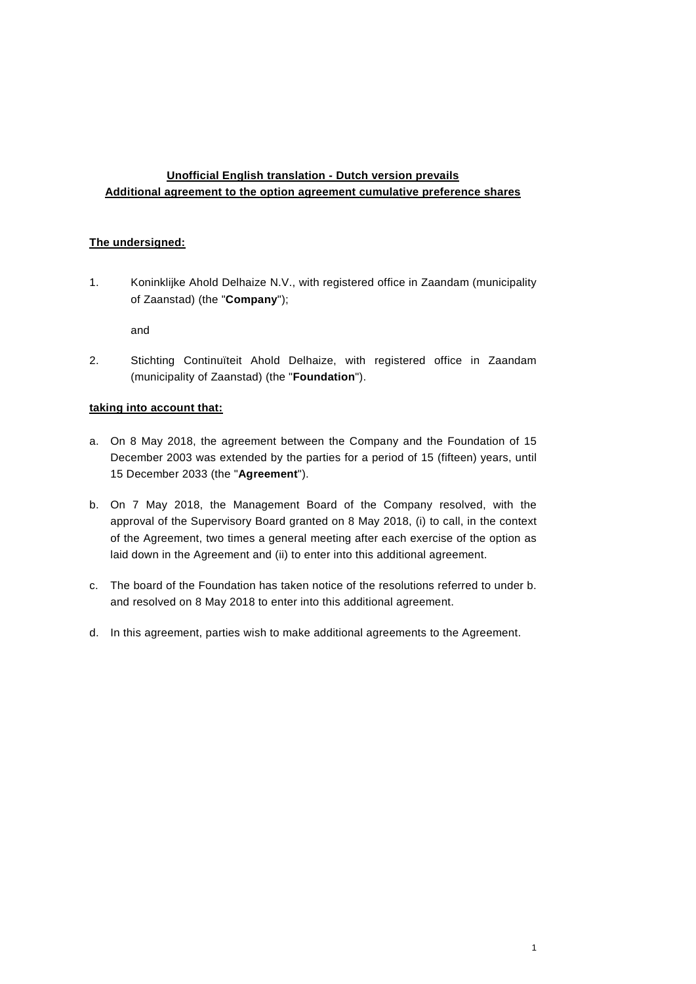# **Unofficial English translation - Dutch version prevails Additional agreement to the option agreement cumulative preference shares**

#### **The undersigned:**

1. Koninklijke Ahold Delhaize N.V., with registered office in Zaandam (municipality of Zaanstad) (the "**Company**");

and

2. Stichting Continuïteit Ahold Delhaize, with registered office in Zaandam (municipality of Zaanstad) (the "**Foundation**").

#### **taking into account that:**

- a. On 8 May 2018, the agreement between the Company and the Foundation of 15 December 2003 was extended by the parties for a period of 15 (fifteen) years, until 15 December 2033 (the "**Agreement**").
- <span id="page-0-0"></span>b. On 7 May 2018, the Management Board of the Company resolved, with the approval of the Supervisory Board granted on 8 May 2018, (i) to call, in the context of the Agreement, two times a general meeting after each exercise of the option as laid down in the Agreement and (ii) to enter into this additional agreement.
- c. The board of the Foundation has taken notice of the resolutions referred to under [b.](#page-0-0) and resolved on 8 May 2018 to enter into this additional agreement.
- d. In this agreement, parties wish to make additional agreements to the Agreement.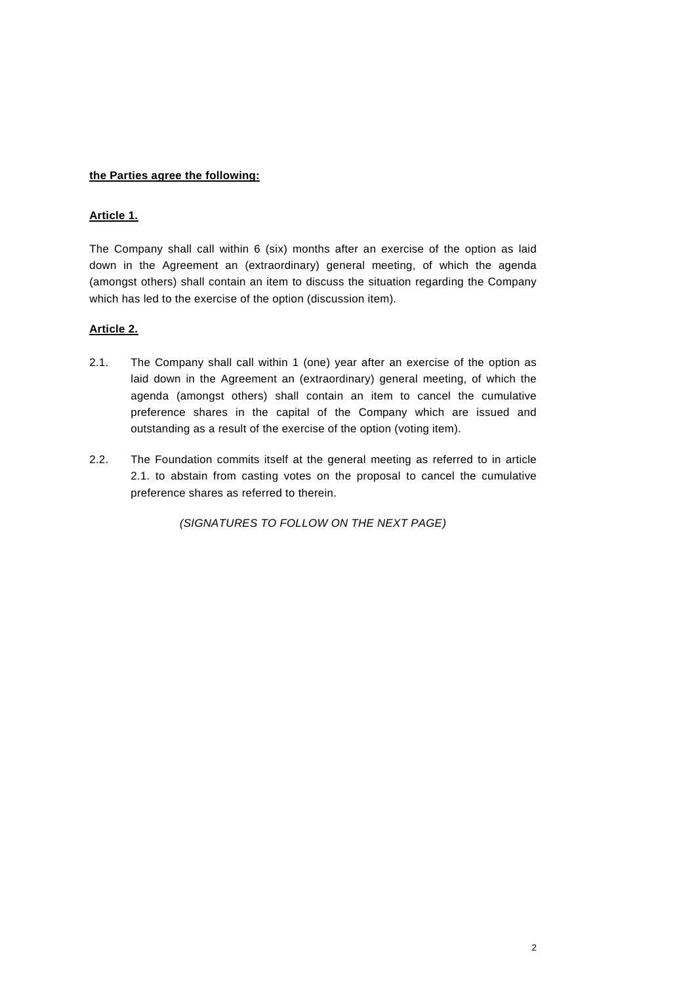### **the Parties agree the following:**

## **Article 1.**

The Company shall call within 6 (six) months after an exercise of the option as laid down in the Agreement an (extraordinary) general meeting, of which the agenda (amongst others) shall contain an item to discuss the situation regarding the Company which has led to the exercise of the option (discussion item).

## **Article 2.**

- 2.1. The Company shall call within 1 (one) year after an exercise of the option as laid down in the Agreement an (extraordinary) general meeting, of which the agenda (amongst others) shall contain an item to cancel the cumulative preference shares in the capital of the Company which are issued and outstanding as a result of the exercise of the option (voting item).
- 2.2. The Foundation commits itself at the general meeting as referred to in article 2.1. to abstain from casting votes on the proposal to cancel the cumulative preference shares as referred to therein.

*(SIGNATURES TO FOLLOW ON THE NEXT PAGE)*